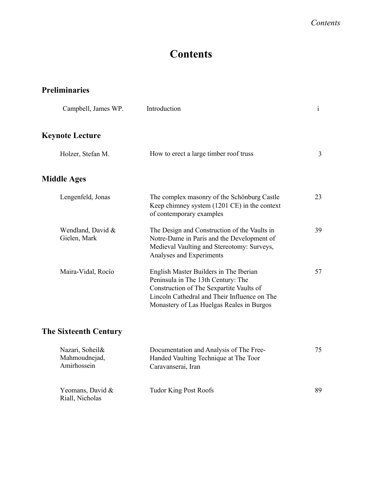# **Contents**

#### **Preliminaries**

| Campbell, James WP.               | Introduction                                                                                                                                                                                                          | $\mathbf{i}$ |
|-----------------------------------|-----------------------------------------------------------------------------------------------------------------------------------------------------------------------------------------------------------------------|--------------|
| Keynote Lecture                   |                                                                                                                                                                                                                       |              |
| Holzer, Stefan M.                 | How to erect a large timber roof truss                                                                                                                                                                                | 3            |
| <b>Middle Ages</b>                |                                                                                                                                                                                                                       |              |
| Lengenfeld, Jonas                 | The complex masonry of the Schönburg Castle<br>Keep chimney system (1201 CE) in the context<br>of contemporary examples                                                                                               | 23           |
| Wendland, David &<br>Gielen, Mark | The Design and Construction of the Vaults in<br>Notre-Dame in Paris and the Development of<br>Medieval Vaulting and Stereotomy: Surveys,<br>Analyses and Experiments                                                  | 39           |
| Maira-Vidal, Rocío                | English Master Builders in The Iberian<br>Peninsula in The 13th Century: The<br>Construction of The Sexpartite Vaults of<br>Lincoln Cathedral and Their Influence on The<br>Monastery of Las Huelgas Reales in Burgos | 57           |
| <b>The Sixteenth Century</b>      |                                                                                                                                                                                                                       |              |

| Nazari, Soheil&<br>Mahmoudnejad,<br>Amirhossein | Documentation and Analysis of The Free-<br>Handed Vaulting Technique at The Toor<br>Caravanserai, Iran | 75 |
|-------------------------------------------------|--------------------------------------------------------------------------------------------------------|----|
| Yeomans, David &<br>Riall, Nicholas             | Tudor King Post Roofs                                                                                  | 89 |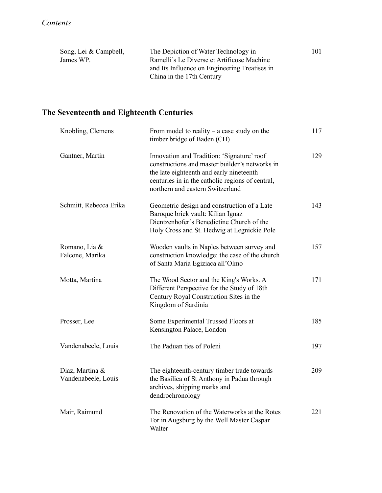| Song, Lei & Campbell, | The Depiction of Water Technology in          | 101 |
|-----------------------|-----------------------------------------------|-----|
| James WP.             | Ramelli's Le Diverse et Artificose Machine    |     |
|                       | and Its Influence on Engineering Treatises in |     |
|                       | China in the 17th Century                     |     |

# **The Seventeenth and Eighteenth Centuries**

| Knobling, Clemens                      | From model to reality $-$ a case study on the<br>timber bridge of Baden (CH)                                                                                                                                                     | 117 |
|----------------------------------------|----------------------------------------------------------------------------------------------------------------------------------------------------------------------------------------------------------------------------------|-----|
| Gantner, Martin                        | Innovation and Tradition: 'Signature' roof<br>constructions and master builder's networks in<br>the late eighteenth and early nineteenth<br>centuries in in the catholic regions of central,<br>northern and eastern Switzerland | 129 |
| Schmitt, Rebecca Erika                 | Geometric design and construction of a Late<br>Baroque brick vault: Kilian Ignaz<br>Dientzenhofer's Benedictine Church of the<br>Holy Cross and St. Hedwig at Legnickie Pole                                                     | 143 |
| Romano, Lia &<br>Falcone, Marika       | Wooden vaults in Naples between survey and<br>construction knowledge: the case of the church<br>of Santa Maria Egiziaca all'Olmo                                                                                                 | 157 |
| Motta, Martina                         | The Wood Sector and the King's Works. A<br>Different Perspective for the Study of 18th<br>Century Royal Construction Sites in the<br>Kingdom of Sardinia                                                                         | 171 |
| Prosser, Lee                           | Some Experimental Trussed Floors at<br>Kensington Palace, London                                                                                                                                                                 | 185 |
| Vandenabeele, Louis                    | The Paduan ties of Poleni                                                                                                                                                                                                        | 197 |
| Diaz, Martina &<br>Vandenabeele, Louis | The eighteenth-century timber trade towards<br>the Basilica of St Anthony in Padua through<br>archives, shipping marks and<br>dendrochronology                                                                                   | 209 |
| Mair, Raimund                          | The Renovation of the Waterworks at the Rotes<br>Tor in Augsburg by the Well Master Caspar<br>Walter                                                                                                                             | 221 |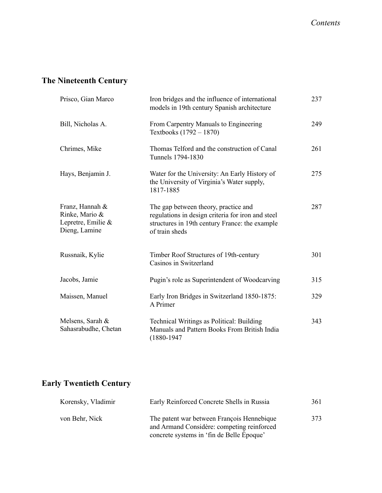### **The Nineteenth Century**

| Prisco, Gian Marco                                                       | Iron bridges and the influence of international<br>models in 19th century Spanish architecture                                                                | 237 |
|--------------------------------------------------------------------------|---------------------------------------------------------------------------------------------------------------------------------------------------------------|-----|
| Bill, Nicholas A.                                                        | From Carpentry Manuals to Engineering<br>Textbooks $(1792 - 1870)$                                                                                            | 249 |
| Chrimes, Mike                                                            | Thomas Telford and the construction of Canal<br>Tunnels 1794-1830                                                                                             | 261 |
| Hays, Benjamin J.                                                        | Water for the University: An Early History of<br>the University of Virginia's Water supply,<br>1817-1885                                                      | 275 |
| Franz, Hannah &<br>Rinke, Mario &<br>Lepretre, Emilie &<br>Dieng, Lamine | The gap between theory, practice and<br>regulations in design criteria for iron and steel<br>structures in 19th century France: the example<br>of train sheds | 287 |
| Russnaik, Kylie                                                          | Timber Roof Structures of 19th-century<br>Casinos in Switzerland                                                                                              | 301 |
| Jacobs, Jamie                                                            | Pugin's role as Superintendent of Woodcarving                                                                                                                 | 315 |
| Maissen, Manuel                                                          | Early Iron Bridges in Switzerland 1850-1875:<br>A Primer                                                                                                      | 329 |
| Melsens, Sarah &<br>Sahasrabudhe, Chetan                                 | Technical Writings as Political: Building<br>Manuals and Pattern Books From British India<br>$(1880 - 1947$                                                   | 343 |

# **Early Twentieth Century**

| Korensky, Vladimir | Early Reinforced Concrete Shells in Russia                                                                                            | 361 |
|--------------------|---------------------------------------------------------------------------------------------------------------------------------------|-----|
| von Behr, Nick     | The patent war between François Hennebique<br>and Armand Considère: competing reinforced<br>concrete systems in 'fin de Belle Epoque' | 373 |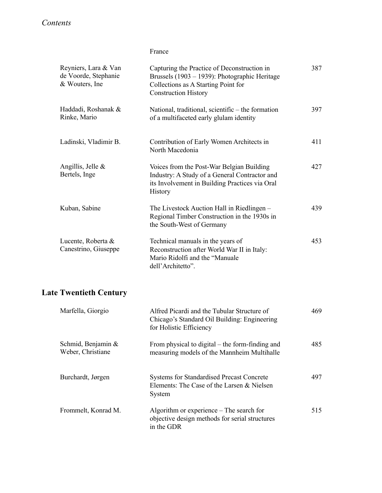#### France

| Reyniers, Lara & Van<br>de Voorde, Stephanie<br>& Wouters, Ine | Capturing the Practice of Deconstruction in<br>Brussels (1903 – 1939): Photographic Heritage<br>Collections as A Starting Point for<br><b>Construction History</b> | 387 |
|----------------------------------------------------------------|--------------------------------------------------------------------------------------------------------------------------------------------------------------------|-----|
| Haddadi, Roshanak &<br>Rinke, Mario                            | National, traditional, scientific – the formation<br>of a multifaceted early glulam identity                                                                       | 397 |
| Ladinski, Vladimir B.                                          | Contribution of Early Women Architects in<br>North Macedonia                                                                                                       | 411 |
| Angillis, Jelle &<br>Bertels, Inge                             | Voices from the Post-War Belgian Building<br>Industry: A Study of a General Contractor and<br>its Involvement in Building Practices via Oral<br>History            | 427 |
| Kuban, Sabine                                                  | The Livestock Auction Hall in Riedlingen -<br>Regional Timber Construction in the 1930s in<br>the South-West of Germany                                            | 439 |
| Lucente, Roberta &<br>Canestrino, Giuseppe                     | Technical manuals in the years of<br>Reconstruction after World War II in Italy:<br>Mario Ridolfi and the "Manuale"<br>dell'Architetto".                           | 453 |
| <b>Late Twentieth Century</b>                                  |                                                                                                                                                                    |     |
| Marfella, Giorgio                                              | Alfred Picardi and the Tubular Structure of<br>Chicago's Standard Oil Building: Engineering<br>for Holistic Efficiency                                             | 469 |
| Schmid, Benjamin &<br>Weber, Christiane                        | From physical to digital – the form-finding and<br>measuring models of the Mannheim Multihalle                                                                     | 485 |
| Burchardt, Jørgen                                              | Systems for Standardised Precast Concrete<br>Elements: The Case of the Larsen & Nielsen<br>System                                                                  | 497 |
| Frommelt, Konrad M.                                            | Algorithm or experience - The search for<br>objective design methods for serial structures<br>in the GDR                                                           | 515 |